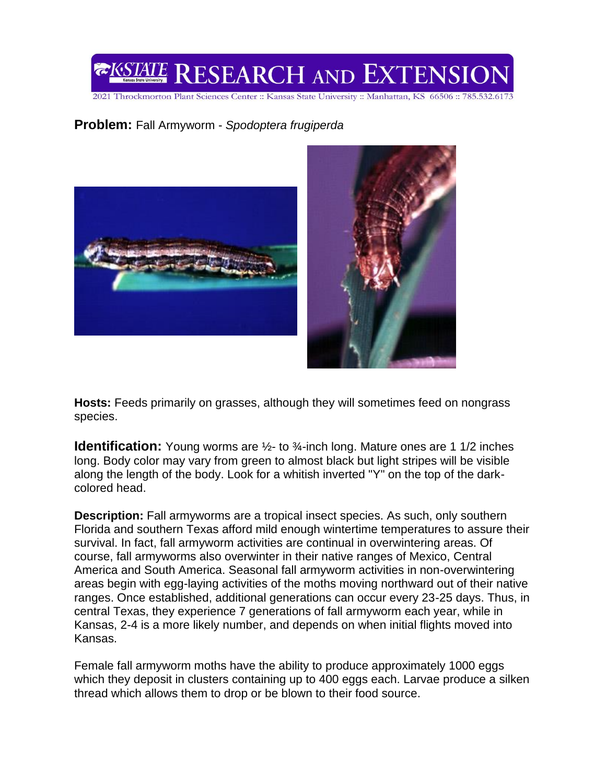

2021 Throckmorton Plant Sciences Center :: Kansas State University :: Manhattan, KS 66506 :: 785.532.6173

## **Problem:** Fall Armyworm - *Spodoptera frugiperda*



**Hosts:** Feeds primarily on grasses, although they will sometimes feed on nongrass species.

**Identification:** Young worms are  $\frac{1}{2}$ - to  $\frac{3}{4}$ -inch long. Mature ones are 1 1/2 inches long. Body color may vary from green to almost black but light stripes will be visible along the length of the body. Look for a whitish inverted "Y" on the top of the darkcolored head.

**Description:** Fall armyworms are a tropical insect species. As such, only southern Florida and southern Texas afford mild enough wintertime temperatures to assure their survival. In fact, fall armyworm activities are continual in overwintering areas. Of course, fall armyworms also overwinter in their native ranges of Mexico, Central America and South America. Seasonal fall armyworm activities in non-overwintering areas begin with egg-laying activities of the moths moving northward out of their native ranges. Once established, additional generations can occur every 23-25 days. Thus, in central Texas, they experience 7 generations of fall armyworm each year, while in Kansas, 2-4 is a more likely number, and depends on when initial flights moved into Kansas.

Female fall armyworm moths have the ability to produce approximately 1000 eggs which they deposit in clusters containing up to 400 eggs each. Larvae produce a silken thread which allows them to drop or be blown to their food source.